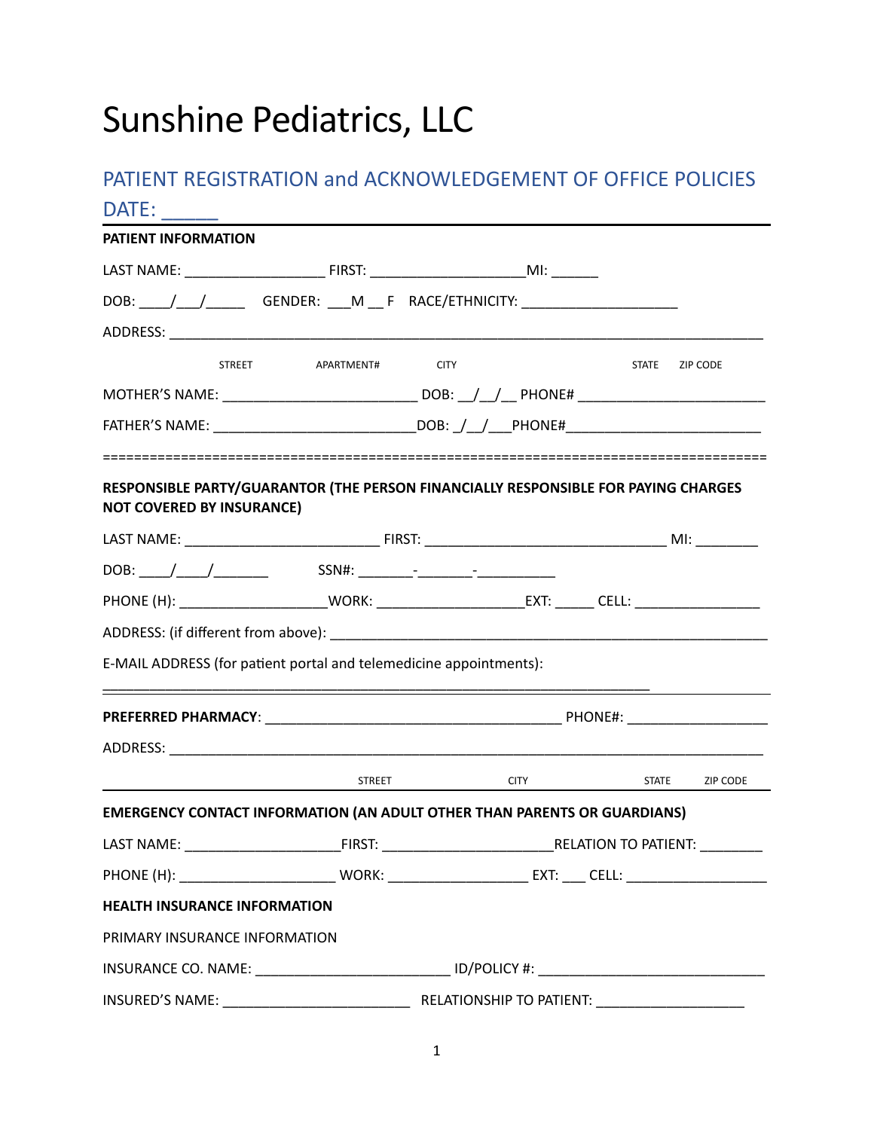# Sunshine Pediatrics, LLC

# PATIENT REGISTRATION and ACKNOWLEDGEMENT OF OFFICE POLICIES DATE:

| <b>PATIENT INFORMATION</b>                                                                                                                                                                                                                                                                             |                 |                |                |
|--------------------------------------------------------------------------------------------------------------------------------------------------------------------------------------------------------------------------------------------------------------------------------------------------------|-----------------|----------------|----------------|
|                                                                                                                                                                                                                                                                                                        |                 |                |                |
| DOB: / / / GENDER: __M __ F RACE/ETHNICITY: ____________________                                                                                                                                                                                                                                       |                 |                |                |
|                                                                                                                                                                                                                                                                                                        |                 |                |                |
| STREET                                                                                                                                                                                                                                                                                                 | APARTMENT# CITY |                | STATE ZIP CODE |
|                                                                                                                                                                                                                                                                                                        |                 |                |                |
|                                                                                                                                                                                                                                                                                                        |                 |                |                |
|                                                                                                                                                                                                                                                                                                        |                 |                |                |
| RESPONSIBLE PARTY/GUARANTOR (THE PERSON FINANCIALLY RESPONSIBLE FOR PAYING CHARGES                                                                                                                                                                                                                     |                 |                |                |
| <b>NOT COVERED BY INSURANCE)</b>                                                                                                                                                                                                                                                                       |                 |                |                |
|                                                                                                                                                                                                                                                                                                        |                 |                |                |
|                                                                                                                                                                                                                                                                                                        |                 |                |                |
| PHONE (H): ___________________________WORK: _________________________________CELL: ______________________                                                                                                                                                                                              |                 |                |                |
|                                                                                                                                                                                                                                                                                                        |                 |                |                |
|                                                                                                                                                                                                                                                                                                        |                 |                |                |
|                                                                                                                                                                                                                                                                                                        |                 |                |                |
| E-MAIL ADDRESS (for patient portal and telemedicine appointments):                                                                                                                                                                                                                                     |                 |                |                |
|                                                                                                                                                                                                                                                                                                        |                 |                |                |
|                                                                                                                                                                                                                                                                                                        |                 | STATE ZIP CODE |                |
| <u>STREET CITY</u>                                                                                                                                                                                                                                                                                     |                 |                |                |
|                                                                                                                                                                                                                                                                                                        |                 |                |                |
|                                                                                                                                                                                                                                                                                                        |                 |                |                |
|                                                                                                                                                                                                                                                                                                        |                 |                |                |
|                                                                                                                                                                                                                                                                                                        |                 |                |                |
| <b>EMERGENCY CONTACT INFORMATION (AN ADULT OTHER THAN PARENTS OR GUARDIANS)</b><br>LAST NAME: THE RELATION TO PATIENT:<br><b>HEALTH INSURANCE INFORMATION</b><br>PRIMARY INSURANCE INFORMATION<br>INSURANCE CO. NAME: ___________________________________ ID/POLICY #: _______________________________ |                 |                |                |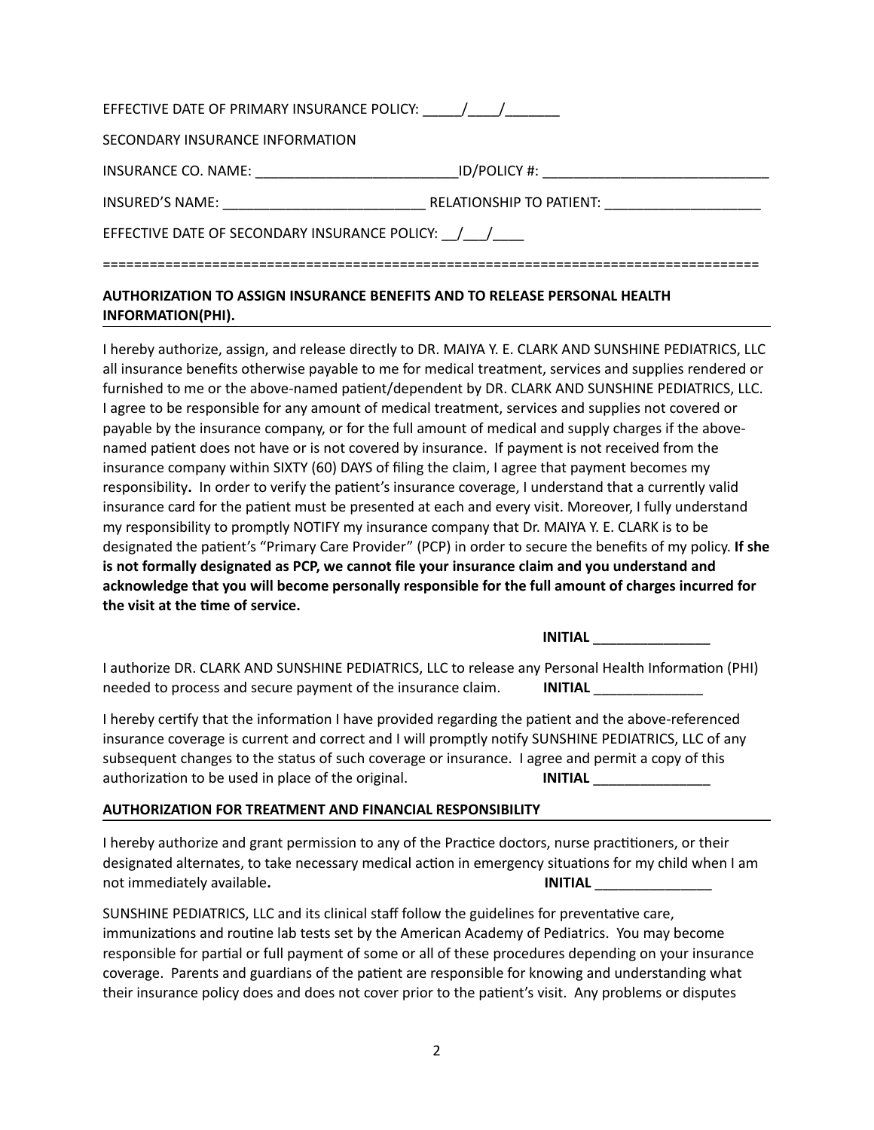| EFFECTIVE DATE OF PRIMARY INSURANCE POLICY: / /   |                                                                                                                |  |  |  |
|---------------------------------------------------|----------------------------------------------------------------------------------------------------------------|--|--|--|
| SECONDARY INSURANCE INFORMATION                   |                                                                                                                |  |  |  |
| <b>INSURANCE CO. NAME:</b> NAME:                  | ID/POLICY #: Andrew Services and Allen and Allen and Allen and Allen and Allen and Allen and Allen and Allen a |  |  |  |
| <b>INSURED'S NAME:</b> NAME:                      | RELATIONSHIP TO PATIENT:                                                                                       |  |  |  |
| EFFECTIVE DATE OF SECONDARY INSURANCE POLICY: / / |                                                                                                                |  |  |  |
|                                                   |                                                                                                                |  |  |  |

## **AUTHORIZATION TO ASSIGN INSURANCE BENEFITS AND TO RELEASE PERSONAL HEALTH INFORMATION(PHI).**

I hereby authorize, assign, and release directly to DR. MAIYA Y. E. CLARK AND SUNSHINE PEDIATRICS, LLC all insurance benefits otherwise payable to me for medical treatment, services and supplies rendered or furnished to me or the above-named patient/dependent by DR. CLARK AND SUNSHINE PEDIATRICS, LLC. I agree to be responsible for any amount of medical treatment, services and supplies not covered or payable by the insurance company, or for the full amount of medical and supply charges if the abovenamed patient does not have or is not covered by insurance. If payment is not received from the insurance company within SIXTY (60) DAYS of filing the claim, I agree that payment becomes my responsibility**.** In order to verify the patient's insurance coverage, I understand that a currently valid insurance card for the patient must be presented at each and every visit. Moreover, I fully understand my responsibility to promptly NOTIFY my insurance company that Dr. MAIYA Y. E. CLARK is to be designated the patient's "Primary Care Provider" (PCP) in order to secure the benefits of my policy. **If she is not formally designated as PCP, we cannot file your insurance claim and you understand and acknowledge that you will become personally responsible for the full amount of charges incurred for the visit at the time of service.** 

**INITIAL** \_\_\_\_\_\_\_\_\_\_\_\_\_\_\_

I authorize DR. CLARK AND SUNSHINE PEDIATRICS, LLC to release any Personal Health Information (PHI) needed to process and secure payment of the insurance claim. **INITIAL** 

I hereby certify that the information I have provided regarding the patient and the above-referenced insurance coverage is current and correct and I will promptly notify SUNSHINE PEDIATRICS, LLC of any subsequent changes to the status of such coverage or insurance. I agree and permit a copy of this authorization to be used in place of the original. **INITIAL INITIAL** 

#### **AUTHORIZATION FOR TREATMENT AND FINANCIAL RESPONSIBILITY**

I hereby authorize and grant permission to any of the Practice doctors, nurse practitioners, or their designated alternates, to take necessary medical action in emergency situations for my child when I am not immediately available. **INITIAL INITIAL** 

SUNSHINE PEDIATRICS, LLC and its clinical staff follow the guidelines for preventative care, immunizations and routine lab tests set by the American Academy of Pediatrics. You may become responsible for partial or full payment of some or all of these procedures depending on your insurance coverage. Parents and guardians of the patient are responsible for knowing and understanding what their insurance policy does and does not cover prior to the patient's visit. Any problems or disputes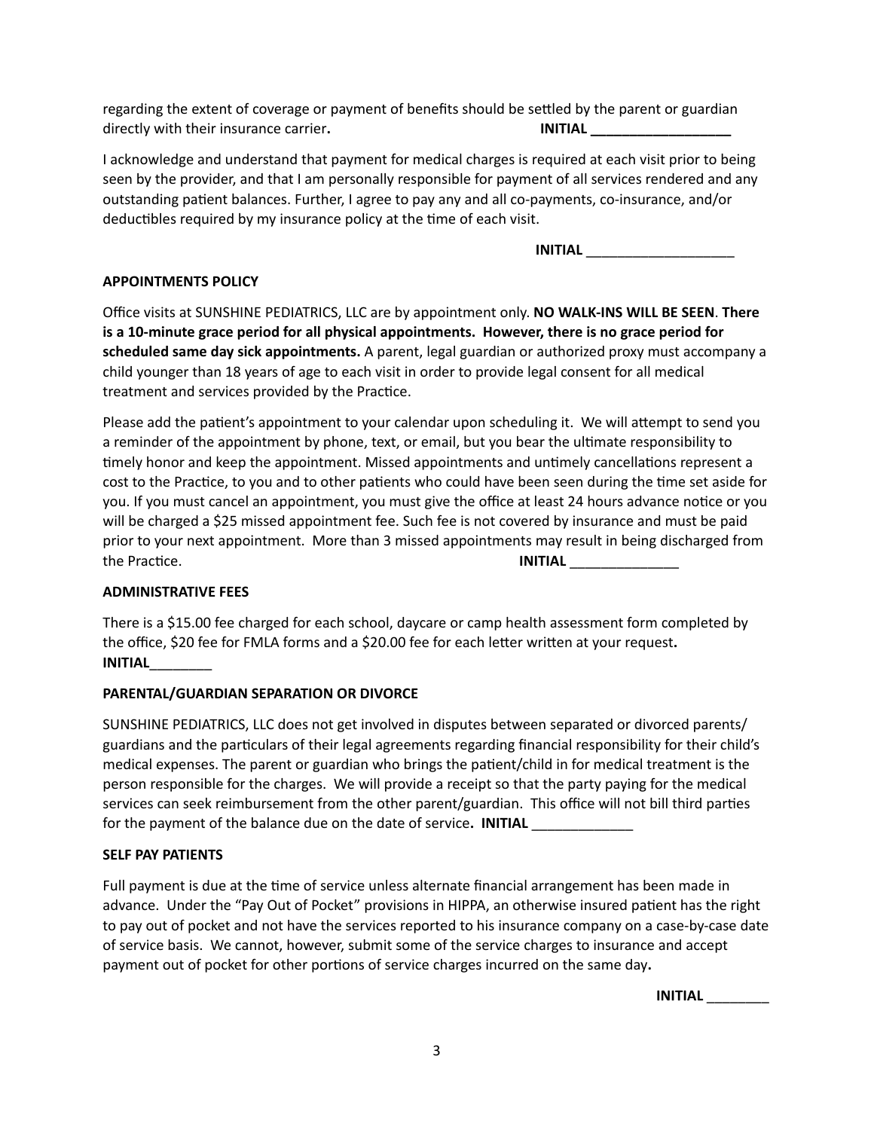regarding the extent of coverage or payment of benefits should be settled by the parent or guardian directly with their insurance carrier. The same of the **INITIAL** and **INITIAL** and **INITIAL** 

I acknowledge and understand that payment for medical charges is required at each visit prior to being seen by the provider, and that I am personally responsible for payment of all services rendered and any outstanding patient balances. Further, I agree to pay any and all co-payments, co-insurance, and/or deductibles required by my insurance policy at the time of each visit.

**INITIAL** \_\_\_\_\_\_\_\_\_\_\_\_\_\_\_\_\_\_\_

#### **APPOINTMENTS POLICY**

Office visits at SUNSHINE PEDIATRICS, LLC are by appointment only. **NO WALK-INS WILL BE SEEN**. **There is a 10-minute grace period for all physical appointments. However, there is no grace period for scheduled same day sick appointments.** A parent, legal guardian or authorized proxy must accompany a child younger than 18 years of age to each visit in order to provide legal consent for all medical treatment and services provided by the Practice.

Please add the patient's appointment to your calendar upon scheduling it. We will attempt to send you a reminder of the appointment by phone, text, or email, but you bear the ultimate responsibility to timely honor and keep the appointment. Missed appointments and untimely cancellations represent a cost to the Practice, to you and to other patients who could have been seen during the time set aside for you. If you must cancel an appointment, you must give the office at least 24 hours advance notice or you will be charged a \$25 missed appointment fee. Such fee is not covered by insurance and must be paid prior to your next appointment. More than 3 missed appointments may result in being discharged from the Practice. **INITIAL** \_\_\_\_\_\_\_\_\_\_\_\_\_\_

#### **ADMINISTRATIVE FEES**

There is a \$15.00 fee charged for each school, daycare or camp health assessment form completed by the office, \$20 fee for FMLA forms and a \$20.00 fee for each letter written at your request**. INITIAL**\_\_\_\_\_\_\_\_

#### **PARENTAL/GUARDIAN SEPARATION OR DIVORCE**

SUNSHINE PEDIATRICS, LLC does not get involved in disputes between separated or divorced parents/ guardians and the particulars of their legal agreements regarding financial responsibility for their child's medical expenses. The parent or guardian who brings the patient/child in for medical treatment is the person responsible for the charges. We will provide a receipt so that the party paying for the medical services can seek reimbursement from the other parent/guardian. This office will not bill third parties for the payment of the balance due on the date of service. **INITIAL** 

#### **SELF PAY PATIENTS**

Full payment is due at the time of service unless alternate financial arrangement has been made in advance. Under the "Pay Out of Pocket" provisions in HIPPA, an otherwise insured patient has the right to pay out of pocket and not have the services reported to his insurance company on a case-by-case date of service basis. We cannot, however, submit some of the service charges to insurance and accept payment out of pocket for other portions of service charges incurred on the same day**.** 

 **INITIAL** \_\_\_\_\_\_\_\_